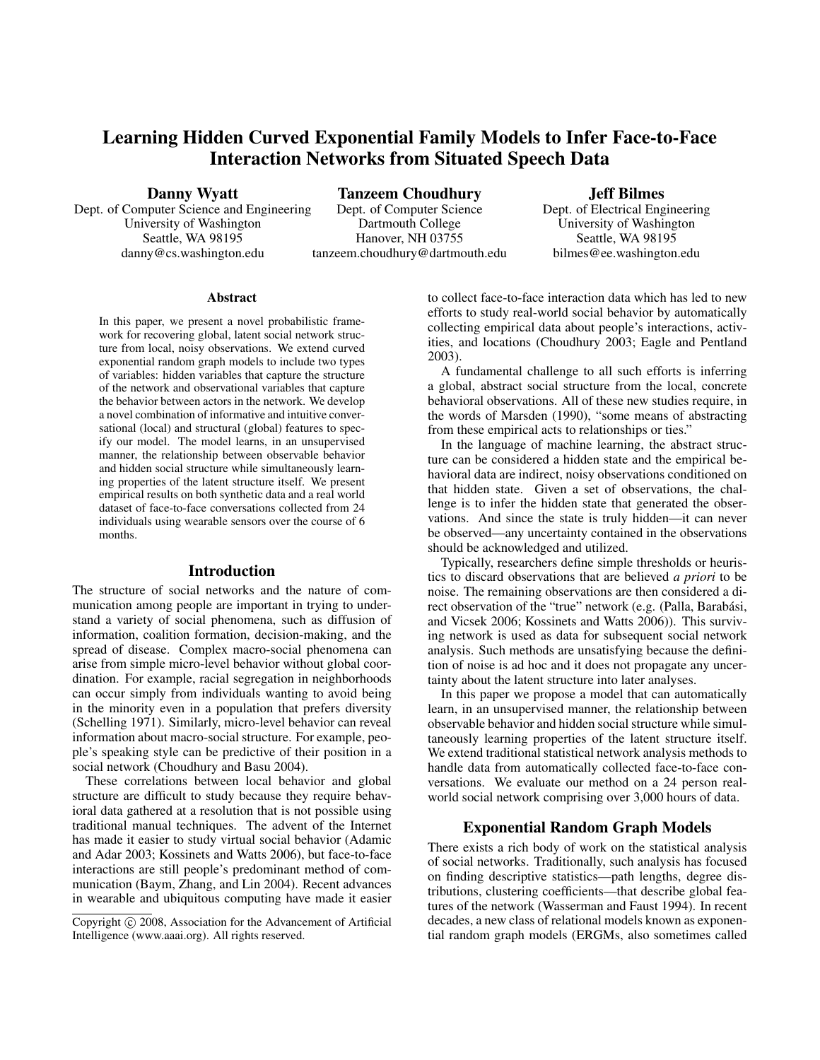# Learning Hidden Curved Exponential Family Models to Infer Face-to-Face Interaction Networks from Situated Speech Data

Danny Wyatt

Dept. of Computer Science and Engineering University of Washington Seattle, WA 98195 danny@cs.washington.edu

Tanzeem Choudhury Dept. of Computer Science Dartmouth College Hanover, NH 03755 tanzeem.choudhury@dartmouth.edu Jeff Bilmes

Dept. of Electrical Engineering University of Washington Seattle, WA 98195 bilmes@ee.washington.edu

### Abstract

In this paper, we present a novel probabilistic framework for recovering global, latent social network structure from local, noisy observations. We extend curved exponential random graph models to include two types of variables: hidden variables that capture the structure of the network and observational variables that capture the behavior between actors in the network. We develop a novel combination of informative and intuitive conversational (local) and structural (global) features to specify our model. The model learns, in an unsupervised manner, the relationship between observable behavior and hidden social structure while simultaneously learning properties of the latent structure itself. We present empirical results on both synthetic data and a real world dataset of face-to-face conversations collected from 24 individuals using wearable sensors over the course of 6 months.

### Introduction

The structure of social networks and the nature of communication among people are important in trying to understand a variety of social phenomena, such as diffusion of information, coalition formation, decision-making, and the spread of disease. Complex macro-social phenomena can arise from simple micro-level behavior without global coordination. For example, racial segregation in neighborhoods can occur simply from individuals wanting to avoid being in the minority even in a population that prefers diversity (Schelling 1971). Similarly, micro-level behavior can reveal information about macro-social structure. For example, people's speaking style can be predictive of their position in a social network (Choudhury and Basu 2004).

These correlations between local behavior and global structure are difficult to study because they require behavioral data gathered at a resolution that is not possible using traditional manual techniques. The advent of the Internet has made it easier to study virtual social behavior (Adamic and Adar 2003; Kossinets and Watts 2006), but face-to-face interactions are still people's predominant method of communication (Baym, Zhang, and Lin 2004). Recent advances in wearable and ubiquitous computing have made it easier

to collect face-to-face interaction data which has led to new efforts to study real-world social behavior by automatically collecting empirical data about people's interactions, activities, and locations (Choudhury 2003; Eagle and Pentland 2003).

A fundamental challenge to all such efforts is inferring a global, abstract social structure from the local, concrete behavioral observations. All of these new studies require, in the words of Marsden (1990), "some means of abstracting from these empirical acts to relationships or ties."

In the language of machine learning, the abstract structure can be considered a hidden state and the empirical behavioral data are indirect, noisy observations conditioned on that hidden state. Given a set of observations, the challenge is to infer the hidden state that generated the observations. And since the state is truly hidden—it can never be observed—any uncertainty contained in the observations should be acknowledged and utilized.

Typically, researchers define simple thresholds or heuristics to discard observations that are believed *a priori* to be noise. The remaining observations are then considered a direct observation of the "true" network (e.g. (Palla, Barabási, and Vicsek 2006; Kossinets and Watts 2006)). This surviving network is used as data for subsequent social network analysis. Such methods are unsatisfying because the definition of noise is ad hoc and it does not propagate any uncertainty about the latent structure into later analyses.

In this paper we propose a model that can automatically learn, in an unsupervised manner, the relationship between observable behavior and hidden social structure while simultaneously learning properties of the latent structure itself. We extend traditional statistical network analysis methods to handle data from automatically collected face-to-face conversations. We evaluate our method on a 24 person realworld social network comprising over 3,000 hours of data.

## Exponential Random Graph Models

There exists a rich body of work on the statistical analysis of social networks. Traditionally, such analysis has focused on finding descriptive statistics—path lengths, degree distributions, clustering coefficients—that describe global features of the network (Wasserman and Faust 1994). In recent decades, a new class of relational models known as exponential random graph models (ERGMs, also sometimes called

Copyright (c) 2008, Association for the Advancement of Artificial Intelligence (www.aaai.org). All rights reserved.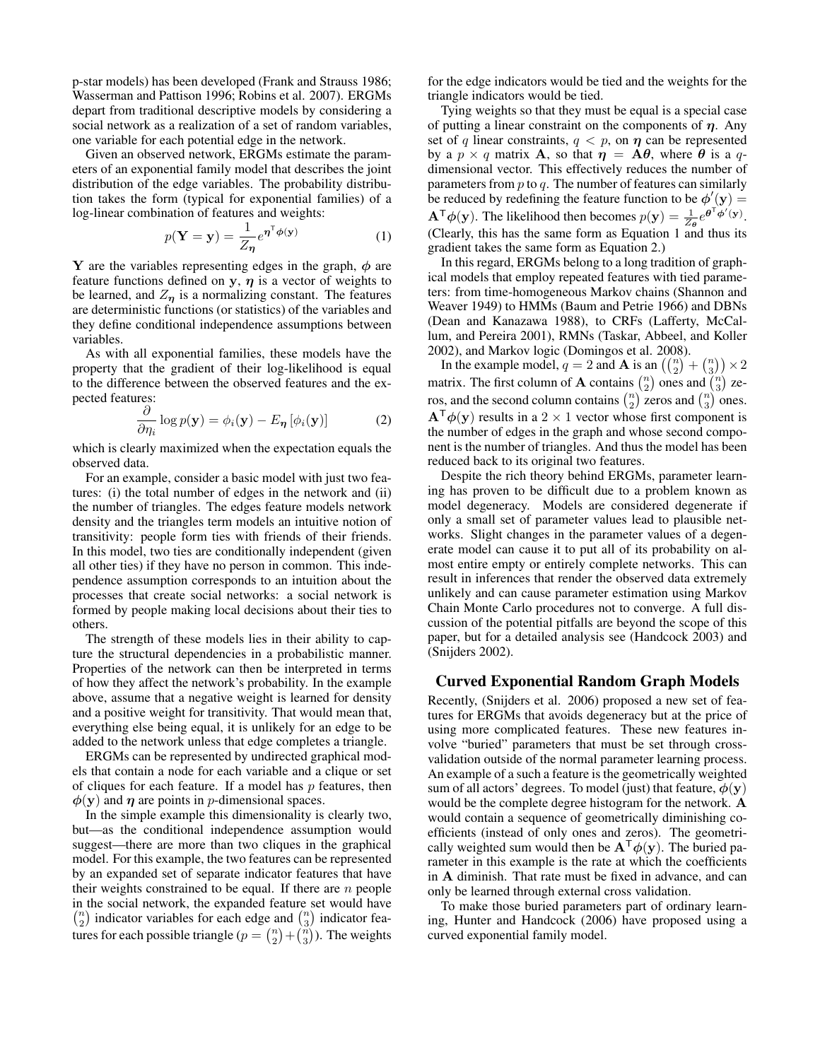p-star models) has been developed (Frank and Strauss 1986; Wasserman and Pattison 1996; Robins et al. 2007). ERGMs depart from traditional descriptive models by considering a social network as a realization of a set of random variables, one variable for each potential edge in the network.

Given an observed network, ERGMs estimate the parameters of an exponential family model that describes the joint distribution of the edge variables. The probability distribution takes the form (typical for exponential families) of a log-linear combination of features and weights:

$$
p(\mathbf{Y} = \mathbf{y}) = \frac{1}{Z_{\eta}} e^{\eta^{\mathsf{T}} \phi(\mathbf{y})}
$$
 (1)

Y are the variables representing edges in the graph,  $\phi$  are feature functions defined on y,  $\eta$  is a vector of weights to be learned, and  $Z_n$  is a normalizing constant. The features are deterministic functions (or statistics) of the variables and they define conditional independence assumptions between variables.

As with all exponential families, these models have the property that the gradient of their log-likelihood is equal to the difference between the observed features and the expected features:

$$
\frac{\partial}{\partial \eta_i} \log p(\mathbf{y}) = \phi_i(\mathbf{y}) - E_{\boldsymbol{\eta}} \left[ \phi_i(\mathbf{y}) \right] \tag{2}
$$

which is clearly maximized when the expectation equals the observed data.

For an example, consider a basic model with just two features: (i) the total number of edges in the network and (ii) the number of triangles. The edges feature models network density and the triangles term models an intuitive notion of transitivity: people form ties with friends of their friends. In this model, two ties are conditionally independent (given all other ties) if they have no person in common. This independence assumption corresponds to an intuition about the processes that create social networks: a social network is formed by people making local decisions about their ties to others.

The strength of these models lies in their ability to capture the structural dependencies in a probabilistic manner. Properties of the network can then be interpreted in terms of how they affect the network's probability. In the example above, assume that a negative weight is learned for density and a positive weight for transitivity. That would mean that, everything else being equal, it is unlikely for an edge to be added to the network unless that edge completes a triangle.

ERGMs can be represented by undirected graphical models that contain a node for each variable and a clique or set of cliques for each feature. If a model has  $p$  features, then  $\phi(y)$  and  $\eta$  are points in *p*-dimensional spaces.

In the simple example this dimensionality is clearly two, but—as the conditional independence assumption would suggest—there are more than two cliques in the graphical model. For this example, the two features can be represented by an expanded set of separate indicator features that have their weights constrained to be equal. If there are  $n$  people in the social network, the expanded feature set would have  $\binom{n}{2}$  indicator variables for each edge and  $\binom{n}{3}$  indicator features for each possible triangle  $(p = {n \choose 2} + {n \choose 3})$ . The weights

for the edge indicators would be tied and the weights for the triangle indicators would be tied.

Tying weights so that they must be equal is a special case of putting a linear constraint on the components of  $\eta$ . Any set of q linear constraints,  $q < p$ , on  $\eta$  can be represented by a  $p \times q$  matrix **A**, so that  $\eta = \mathbf{A}\theta$ , where  $\theta$  is a qdimensional vector. This effectively reduces the number of parameters from  $p$  to  $q$ . The number of features can similarly be reduced by redefining the feature function to be  $\phi'(y) =$  $\mathbf{A}^{\mathsf{T}}\phi(\mathbf{y})$ . The likelihood then becomes  $p(\mathbf{y}) = \frac{1}{Z_{\theta}}e^{\theta^{\mathsf{T}}\phi'(\mathbf{y})}$ . (Clearly, this has the same form as Equation 1 and thus its gradient takes the same form as Equation 2.)

In this regard, ERGMs belong to a long tradition of graphical models that employ repeated features with tied parameters: from time-homogeneous Markov chains (Shannon and Weaver 1949) to HMMs (Baum and Petrie 1966) and DBNs (Dean and Kanazawa 1988), to CRFs (Lafferty, McCallum, and Pereira 2001), RMNs (Taskar, Abbeel, and Koller 2002), and Markov logic (Domingos et al. 2008).

In the example model,  $q = 2$  and **A** is an  $\left(\binom{n}{2} + \binom{n}{3}\right) \times 2$ matrix. The first column of **A** contains  $\binom{n}{2}$  ones and  $\binom{n}{3}$  zeros, and the second column contains  $\binom{n}{2}$  zeros and  $\binom{n}{3}$  ones.  $A^{\mathsf{T}}\phi(\mathbf{y})$  results in a 2 × 1 vector whose first component is the number of edges in the graph and whose second component is the number of triangles. And thus the model has been reduced back to its original two features.

Despite the rich theory behind ERGMs, parameter learning has proven to be difficult due to a problem known as model degeneracy. Models are considered degenerate if only a small set of parameter values lead to plausible networks. Slight changes in the parameter values of a degenerate model can cause it to put all of its probability on almost entire empty or entirely complete networks. This can result in inferences that render the observed data extremely unlikely and can cause parameter estimation using Markov Chain Monte Carlo procedures not to converge. A full discussion of the potential pitfalls are beyond the scope of this paper, but for a detailed analysis see (Handcock 2003) and (Snijders 2002).

### Curved Exponential Random Graph Models

Recently, (Snijders et al. 2006) proposed a new set of features for ERGMs that avoids degeneracy but at the price of using more complicated features. These new features involve "buried" parameters that must be set through crossvalidation outside of the normal parameter learning process. An example of a such a feature is the geometrically weighted sum of all actors' degrees. To model (just) that feature,  $\phi(\mathbf{y})$ would be the complete degree histogram for the network. A would contain a sequence of geometrically diminishing coefficients (instead of only ones and zeros). The geometrically weighted sum would then be  $A^{\mathsf{T}}\phi(y)$ . The buried parameter in this example is the rate at which the coefficients in A diminish. That rate must be fixed in advance, and can only be learned through external cross validation.

To make those buried parameters part of ordinary learning, Hunter and Handcock (2006) have proposed using a curved exponential family model.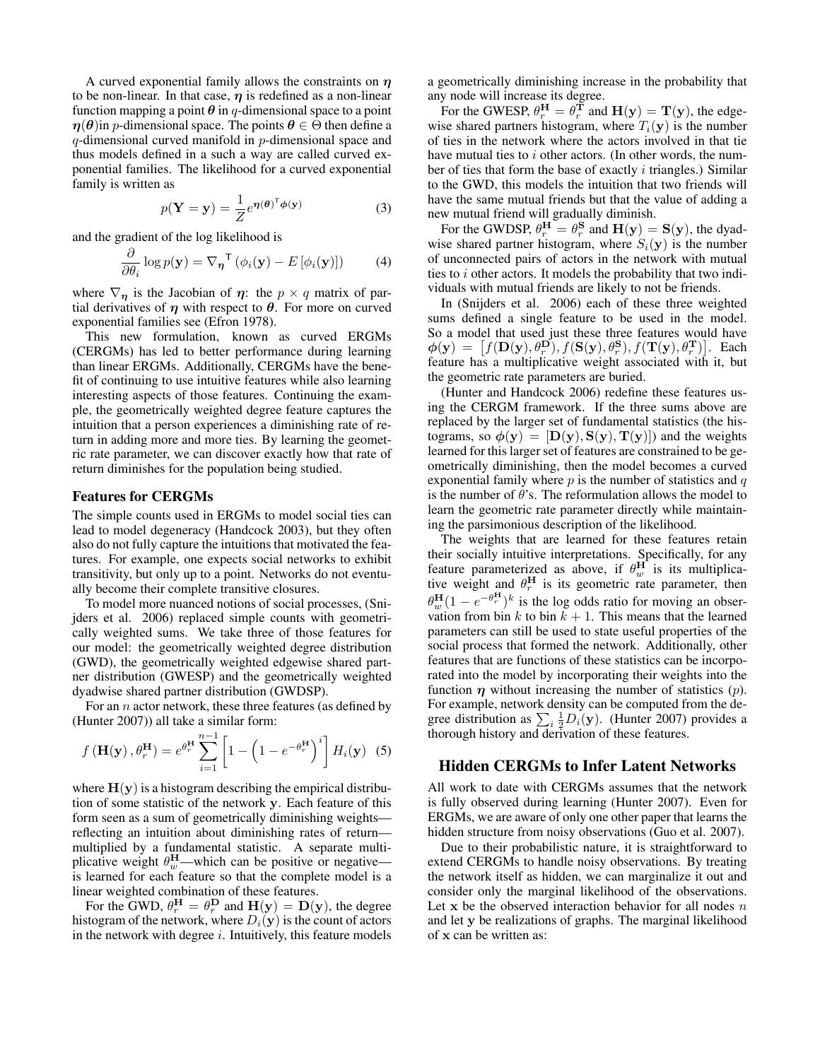A curved exponential family allows the constraints on  $\eta$ to be non-linear. In that case,  $\eta$  is redefined as a non-linear function mapping a point  $\theta$  in q-dimensional space to a point  $\eta(\theta)$ in p-dimensional space. The points  $\theta \in \Theta$  then define a q-dimensional curved manifold in p-dimensional space and thus models defined in a such a way are called curved exponential families. The likelihood for a curved exponential family is written as

$$
p(\mathbf{Y} = \mathbf{y}) = \frac{1}{Z} e^{\boldsymbol{\eta}(\boldsymbol{\theta})^{\mathsf{T}} \boldsymbol{\phi}(\mathbf{y})}
$$
(3)

and the gradient of the log likelihood is

$$
\frac{\partial}{\partial \theta_i} \log p(\mathbf{y}) = \nabla_{\boldsymbol{\eta}}^{\mathsf{T}} (\phi_i(\mathbf{y}) - E[\phi_i(\mathbf{y})]) \tag{4}
$$

where  $\nabla_{\eta}$  is the Jacobian of  $\eta$ : the  $p \times q$  matrix of partial derivatives of  $\eta$  with respect to  $\theta$ . For more on curved exponential families see (Efron 1978).

This new formulation, known as curved ERGMs (CERGMs) has led to better performance during learning than linear ERGMs. Additionally, CERGMs have the benefit of continuing to use intuitive features while also learning interesting aspects of those features. Continuing the example, the geometrically weighted degree feature captures the intuition that a person experiences a diminishing rate of return in adding more and more ties. By learning the geometric rate parameter, we can discover exactly how that rate of return diminishes for the population being studied.

### Features for CERGMs

The simple counts used in ERGMs to model social ties can lead to model degeneracy (Handcock 2003), but they often also do not fully capture the intuitions that motivated the features. For example, one expects social networks to exhibit transitivity, but only up to a point. Networks do not eventually become their complete transitive closures.

To model more nuanced notions of social processes, (Snijders et al. 2006) replaced simple counts with geometrically weighted sums. We take three of those features for our model: the geometrically weighted degree distribution (GWD), the geometrically weighted edgewise shared partner distribution (GWESP) and the geometrically weighted dyadwise shared partner distribution (GWDSP).

For an  $n$  actor network, these three features (as defined by (Hunter 2007)) all take a similar form:

$$
f\left(\mathbf{H}(\mathbf{y}), \theta_{r}^{\mathbf{H}}\right) = e^{\theta_{r}^{\mathbf{H}}} \sum_{i=1}^{n-1} \left[1 - \left(1 - e^{-\theta_{r}^{\mathbf{H}}}\right)^{i}\right] H_{i}(\mathbf{y}) \quad (5)
$$

where  $H(y)$  is a histogram describing the empirical distribution of some statistic of the network y. Each feature of this form seen as a sum of geometrically diminishing weights reflecting an intuition about diminishing rates of return multiplied by a fundamental statistic. A separate multiplicative weight  $\theta_w^H$ —which can be positive or negative is learned for each feature so that the complete model is a linear weighted combination of these features.

For the GWD,  $\theta_r^{\mathbf{H}} = \theta_r^{\mathbf{D}}$  and  $\mathbf{H}(\mathbf{y}) = \mathbf{D}(\mathbf{y})$ , the degree histogram of the network, where  $D_i(\mathbf{y})$  is the count of actors in the network with degree  $i$ . Intuitively, this feature models

a geometrically diminishing increase in the probability that any node will increase its degree.

For the GWESP,  $\theta_r^{\mathbf{H}} = \theta_r^{\mathbf{T}}$  and  $\mathbf{H}(\mathbf{y}) = \mathbf{T}(\mathbf{y})$ , the edgewise shared partners histogram, where  $T_i(\mathbf{y})$  is the number of ties in the network where the actors involved in that tie have mutual ties to  $i$  other actors. (In other words, the number of ties that form the base of exactly  $i$  triangles.) Similar to the GWD, this models the intuition that two friends will have the same mutual friends but that the value of adding a new mutual friend will gradually diminish.

For the GWDSP,  $\theta_r^{\mathbf{H}} = \theta_r^{\mathbf{S}}$  and  $\mathbf{H}(\mathbf{y}) = \mathbf{S}(\mathbf{y})$ , the dyadwise shared partner histogram, where  $S_i(\mathbf{y})$  is the number of unconnected pairs of actors in the network with mutual ties to  $i$  other actors. It models the probability that two individuals with mutual friends are likely to not be friends.

In (Snijders et al. 2006) each of these three weighted sums defined a single feature to be used in the model. So a model that used just these three features would have  $\phi(\mathbf{y}) = [f(\mathbf{D}(\mathbf{y}), \theta_r^{\mathbf{D}}), f(\mathbf{S}(\mathbf{y}), \theta_r^{\mathbf{S}}), f(\mathbf{T}(\mathbf{y}), \theta_r^{\mathbf{T}})].$  Each feature has a multiplicative weight associated with it, but the geometric rate parameters are buried.

(Hunter and Handcock 2006) redefine these features using the CERGM framework. If the three sums above are replaced by the larger set of fundamental statistics (the histograms, so  $\phi(y) = [D(y), S(y), T(y)]$  and the weights learned for this larger set of features are constrained to be geometrically diminishing, then the model becomes a curved exponential family where  $p$  is the number of statistics and  $q$ is the number of  $\theta$ 's. The reformulation allows the model to learn the geometric rate parameter directly while maintaining the parsimonious description of the likelihood.

The weights that are learned for these features retain their socially intuitive interpretations. Specifically, for any feature parameterized as above, if  $\theta_w^H$  is its multiplicative weight and  $\theta_r^H$  is its geometric rate parameter, then  $\theta_w^{\mathbf{H}}(1 - e^{-\theta_r^{\mathbf{H}}})^k$  is the log odds ratio for moving an observation from bin k to bin  $k + 1$ . This means that the learned parameters can still be used to state useful properties of the social process that formed the network. Additionally, other features that are functions of these statistics can be incorporated into the model by incorporating their weights into the function  $\eta$  without increasing the number of statistics  $(p)$ . For example, network density can be computed from the degree distribution as  $\sum_i \frac{1}{2} D_i(\mathbf{y})$ . (Hunter 2007) provides a thorough history and derivation of these features.

### Hidden CERGMs to Infer Latent Networks

All work to date with CERGMs assumes that the network is fully observed during learning (Hunter 2007). Even for ERGMs, we are aware of only one other paper that learns the hidden structure from noisy observations (Guo et al. 2007).

Due to their probabilistic nature, it is straightforward to extend CERGMs to handle noisy observations. By treating the network itself as hidden, we can marginalize it out and consider only the marginal likelihood of the observations. Let x be the observed interaction behavior for all nodes  $n$ and let y be realizations of graphs. The marginal likelihood of x can be written as: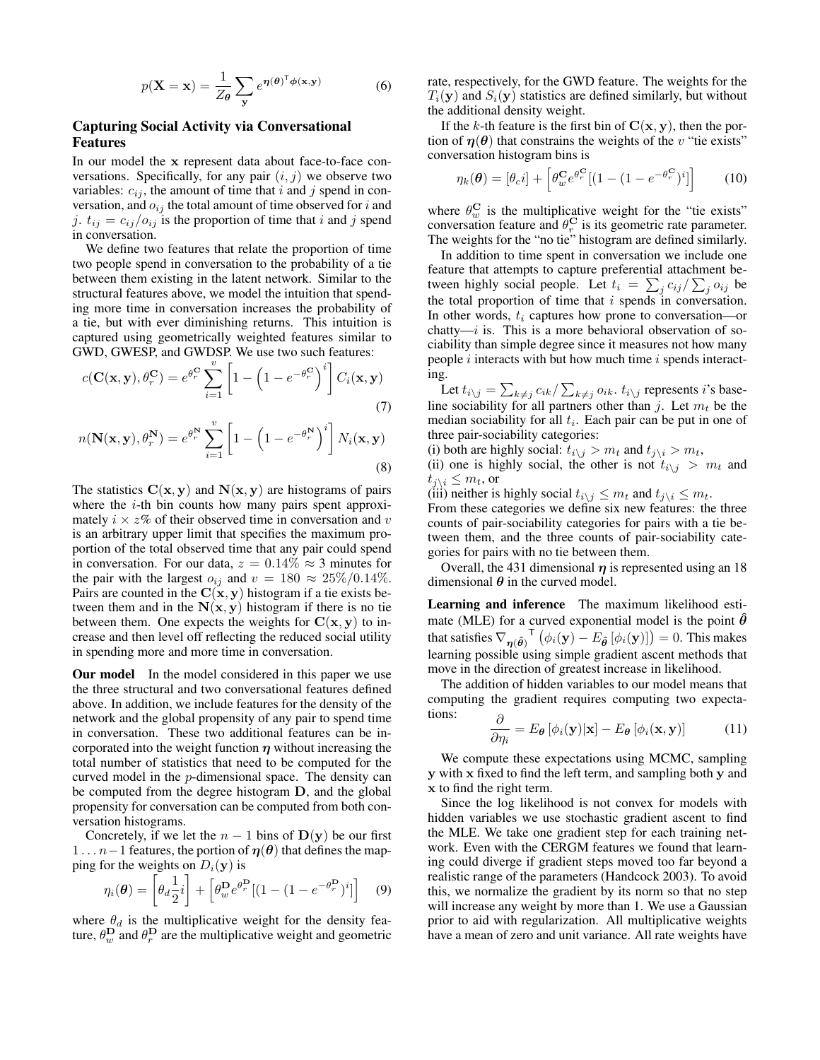$$
p(\mathbf{X} = \mathbf{x}) = \frac{1}{Z_{\theta}} \sum_{\mathbf{y}} e^{\eta(\theta)^{\mathsf{T}} \phi(\mathbf{x}, \mathbf{y})}
$$
(6)

# Capturing Social Activity via Conversational Features

In our model the x represent data about face-to-face conversations. Specifically, for any pair  $(i, j)$  we observe two variables:  $c_{ij}$ , the amount of time that i and j spend in conversation, and  $o_{ij}$  the total amount of time observed for i and j.  $t_{ij} = c_{ij}/o_{ij}$  is the proportion of time that i and j spend in conversation.

We define two features that relate the proportion of time two people spend in conversation to the probability of a tie between them existing in the latent network. Similar to the structural features above, we model the intuition that spending more time in conversation increases the probability of a tie, but with ever diminishing returns. This intuition is captured using geometrically weighted features similar to GWD, GWESP, and GWDSP. We use two such features:

$$
c(\mathbf{C}(\mathbf{x}, \mathbf{y}), \theta_r^{\mathbf{C}}) = e^{\theta_r^{\mathbf{C}}} \sum_{i=1}^v \left[ 1 - \left( 1 - e^{-\theta_r^{\mathbf{C}}} \right)^i \right] C_i(\mathbf{x}, \mathbf{y})
$$
(7)

$$
n(\mathbf{N}(\mathbf{x}, \mathbf{y}), \theta_r^{\mathbf{N}}) = e^{\theta_r^{\mathbf{N}}} \sum_{i=1}^{v} \left[ 1 - \left( 1 - e^{-\theta_r^{\mathbf{N}}} \right)^i \right] N_i(\mathbf{x}, \mathbf{y})
$$
\n(8)

The statistics  $C(x, y)$  and  $N(x, y)$  are histograms of pairs where the  $i$ -th bin counts how many pairs spent approximately  $i \times z$ % of their observed time in conversation and v is an arbitrary upper limit that specifies the maximum proportion of the total observed time that any pair could spend in conversation. For our data,  $z = 0.14\% \approx 3$  minutes for the pair with the largest  $o_{ij}$  and  $v = 180 \approx 25\%/0.14\%.$ Pairs are counted in the  $C(x, y)$  histogram if a tie exists between them and in the  $N(x, y)$  histogram if there is no tie between them. One expects the weights for  $C(x, y)$  to increase and then level off reflecting the reduced social utility in spending more and more time in conversation.

**Our model** In the model considered in this paper we use the three structural and two conversational features defined above. In addition, we include features for the density of the network and the global propensity of any pair to spend time in conversation. These two additional features can be incorporated into the weight function  $\eta$  without increasing the total number of statistics that need to be computed for the curved model in the p-dimensional space. The density can be computed from the degree histogram D, and the global propensity for conversation can be computed from both conversation histograms.

Concretely, if we let the  $n - 1$  bins of  $\mathbf{D}(\mathbf{y})$  be our first  $1 \ldots n-1$  features, the portion of  $\eta(\theta)$  that defines the mapping for the weights on  $D_i(\mathbf{y})$  is

$$
\eta_i(\boldsymbol{\theta}) = \left[\theta_d \frac{1}{2}i\right] + \left[\theta_w^{\mathbf{D}} e^{\theta_r^{\mathbf{D}}} [(1 - (1 - e^{-\theta_r^{\mathbf{D}}})^i]]\right]
$$
(9)

where  $\theta_d$  is the multiplicative weight for the density feature,  $\theta_w^{\mathbf{D}}$  and  $\theta_r^{\mathbf{D}}$  are the multiplicative weight and geometric

rate, respectively, for the GWD feature. The weights for the  $T_i(\mathbf{y})$  and  $S_i(\mathbf{y})$  statistics are defined similarly, but without the additional density weight.

If the k-th feature is the first bin of  $C(x, y)$ , then the portion of  $\eta(\theta)$  that constrains the weights of the v "tie exists" conversation histogram bins is

$$
\eta_k(\boldsymbol{\theta}) = [\theta_c i] + \left[\theta_w^{\mathbf{C}} e^{\theta_r^{\mathbf{C}}} [(1 - (1 - e^{-\theta_r^{\mathbf{C}}})^i]\right] \tag{10}
$$

where  $\theta_w^{\mathbf{C}}$  is the multiplicative weight for the "tie exists" conversation feature and  $\theta_r^{\{C\}}$  is its geometric rate parameter. The weights for the "no tie" histogram are defined similarly.

In addition to time spent in conversation we include one feature that attempts to capture preferential attachment between highly social people. Let  $t_i = \sum_j c_{ij} / \sum_j o_{ij}$  be the total proportion of time that  $i$  spends in conversation. In other words,  $t_i$  captures how prone to conversation—or chatty— $i$  is. This is a more behavioral observation of sociability than simple degree since it measures not how many people  $i$  interacts with but how much time  $i$  spends interacting.

Let  $t_{i\backslash j} = \sum_{k\neq j} c_{ik}/\sum_{k\neq j} o_{ik}$ .  $t_{i\backslash j}$  represents *i*'s baseline sociability for all partners other than j. Let  $m_t$  be the median sociability for all  $t_i$ . Each pair can be put in one of three pair-sociability categories:

(i) both are highly social:  $t_{i\setminus j} > m_t$  and  $t_{j\setminus i} > m_t$ ,

(ii) one is highly social, the other is not  $t_{i\setminus j} > m_t$  and  $t_{j\backslash i} \leq m_t$ , or

(iii) neither is highly social  $t_{i\setminus i} \leq m_t$  and  $t_{i\setminus i} \leq m_t$ .

From these categories we define six new features: the three counts of pair-sociability categories for pairs with a tie between them, and the three counts of pair-sociability categories for pairs with no tie between them.

Overall, the 431 dimensional  $\eta$  is represented using an 18 dimensional  $\theta$  in the curved model.

Learning and inference The maximum likelihood estimate (MLE) for a curved exponential model is the point  $\hat{\theta}$ that satisfies  $\nabla_{\bm{\eta}(\bm{\hat{\theta}})}^\textsf{T} \left( \phi_i(\mathbf{y}) - E_{\bm{\hat{\theta}}} \left[ \phi_i(\mathbf{y}) \right] \right) = 0.$  This makes learning possible using simple gradient ascent methods that move in the direction of greatest increase in likelihood.

The addition of hidden variables to our model means that computing the gradient requires computing two expectations: ∂

$$
\frac{\partial}{\partial \eta_i} = E_{\theta} \left[ \phi_i(\mathbf{y}) | \mathbf{x} \right] - E_{\theta} \left[ \phi_i(\mathbf{x}, \mathbf{y}) \right] \tag{11}
$$

We compute these expectations using MCMC, sampling y with x fixed to find the left term, and sampling both y and x to find the right term.

Since the log likelihood is not convex for models with hidden variables we use stochastic gradient ascent to find the MLE. We take one gradient step for each training network. Even with the CERGM features we found that learning could diverge if gradient steps moved too far beyond a realistic range of the parameters (Handcock 2003). To avoid this, we normalize the gradient by its norm so that no step will increase any weight by more than 1. We use a Gaussian prior to aid with regularization. All multiplicative weights have a mean of zero and unit variance. All rate weights have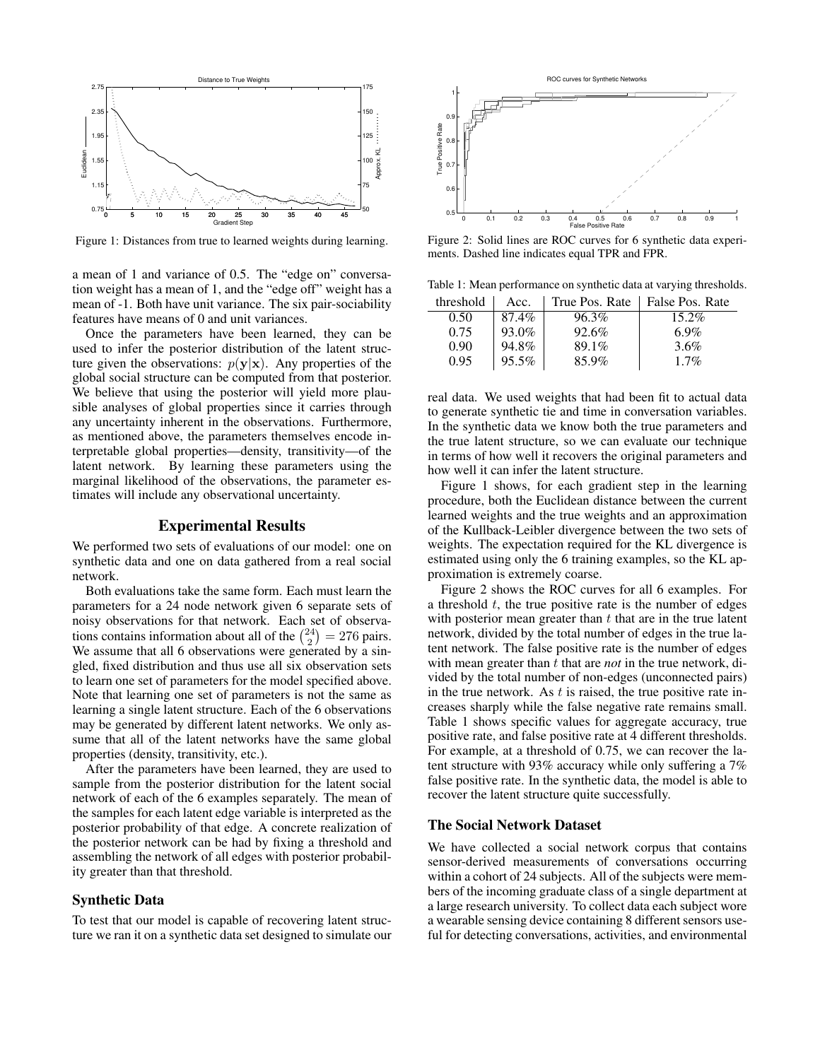

Figure 1: Distances from true to learned weights during learning.

a mean of 1 and variance of 0.5. The "edge on" conversation weight has a mean of 1, and the "edge off" weight has a mean of -1. Both have unit variance. The six pair-sociability features have means of 0 and unit variances.

Once the parameters have been learned, they can be used to infer the posterior distribution of the latent structure given the observations:  $p(y|x)$ . Any properties of the global social structure can be computed from that posterior. We believe that using the posterior will yield more plausible analyses of global properties since it carries through any uncertainty inherent in the observations. Furthermore, as mentioned above, the parameters themselves encode interpretable global properties—density, transitivity—of the latent network. By learning these parameters using the marginal likelihood of the observations, the parameter estimates will include any observational uncertainty.

### Experimental Results

We performed two sets of evaluations of our model: one on synthetic data and one on data gathered from a real social network.

Both evaluations take the same form. Each must learn the parameters for a 24 node network given 6 separate sets of noisy observations for that network. Each set of observations contains information about all of the  $\binom{24}{2} = 276$  pairs. We assume that all 6 observations were generated by a singled, fixed distribution and thus use all six observation sets to learn one set of parameters for the model specified above. Note that learning one set of parameters is not the same as learning a single latent structure. Each of the 6 observations may be generated by different latent networks. We only assume that all of the latent networks have the same global properties (density, transitivity, etc.).

After the parameters have been learned, they are used to sample from the posterior distribution for the latent social network of each of the 6 examples separately. The mean of the samples for each latent edge variable is interpreted as the posterior probability of that edge. A concrete realization of the posterior network can be had by fixing a threshold and assembling the network of all edges with posterior probability greater than that threshold.

### Synthetic Data

To test that our model is capable of recovering latent structure we ran it on a synthetic data set designed to simulate our



Figure 2: Solid lines are ROC curves for 6 synthetic data experiments. Dashed line indicates equal TPR and FPR.

Table 1: Mean performance on synthetic data at varying thresholds.

| threshold | Acc.  | True Pos. Rate | False Pos. Rate |
|-----------|-------|----------------|-----------------|
| 0.50      | 87.4% | 96.3%          | 15.2%           |
| 0.75      | 93.0% | 92.6%          | 6.9%            |
| 0.90      | 94.8% | 89.1%          | $3.6\%$         |
| 0.95      | 95.5% | 85.9%          | $1.7\%$         |

real data. We used weights that had been fit to actual data to generate synthetic tie and time in conversation variables. In the synthetic data we know both the true parameters and the true latent structure, so we can evaluate our technique in terms of how well it recovers the original parameters and how well it can infer the latent structure.

Figure 1 shows, for each gradient step in the learning procedure, both the Euclidean distance between the current learned weights and the true weights and an approximation of the Kullback-Leibler divergence between the two sets of weights. The expectation required for the KL divergence is estimated using only the 6 training examples, so the KL approximation is extremely coarse.

Figure 2 shows the ROC curves for all 6 examples. For a threshold  $t$ , the true positive rate is the number of edges with posterior mean greater than  $t$  that are in the true latent network, divided by the total number of edges in the true latent network. The false positive rate is the number of edges with mean greater than t that are *not* in the true network, divided by the total number of non-edges (unconnected pairs) in the true network. As  $t$  is raised, the true positive rate increases sharply while the false negative rate remains small. Table 1 shows specific values for aggregate accuracy, true positive rate, and false positive rate at 4 different thresholds. For example, at a threshold of 0.75, we can recover the latent structure with 93% accuracy while only suffering a 7% false positive rate. In the synthetic data, the model is able to recover the latent structure quite successfully.

#### The Social Network Dataset

We have collected a social network corpus that contains sensor-derived measurements of conversations occurring within a cohort of 24 subjects. All of the subjects were members of the incoming graduate class of a single department at a large research university. To collect data each subject wore a wearable sensing device containing 8 different sensors useful for detecting conversations, activities, and environmental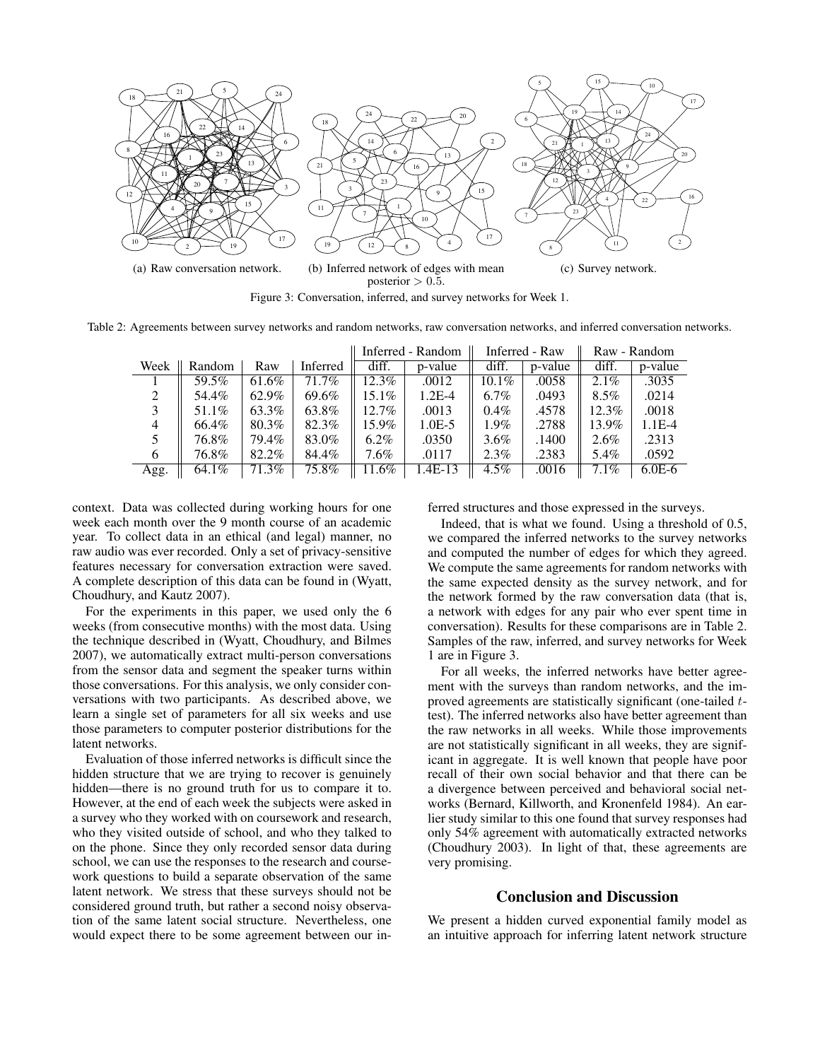

Table 2: Agreements between survey networks and random networks, raw conversation networks, and inferred conversation networks.

|          |        |       |          | Inferred - Random |          | Inferred - Raw |         | Raw - Random |          |
|----------|--------|-------|----------|-------------------|----------|----------------|---------|--------------|----------|
| Week     | Random | Raw   | Inferred | diff.             | p-value  | diff.          | p-value | diff.        | p-value  |
|          | 59.5%  | 61.6% | 71.7%    | $12.3\%$          | .0012    | $10.1\%$       | .0058   | $2.1\%$      | .3035    |
| $\gamma$ | 54.4%  | 62.9% | 69.6%    | $15.1\%$          | $1.2E-4$ | $6.7\%$        | .0493   | $8.5\%$      | .0214    |
|          | 51.1%  | 63.3% | 63.8%    | $12.7\%$          | .0013    | $0.4\%$        | .4578   | $12.3\%$     | .0018    |
| 4        | 66.4%  | 80.3% | 82.3%    | 15.9%             | $1.0E-5$ | $1.9\%$        | .2788   | 13.9%        | $1.1E-4$ |
|          | 76.8%  | 79.4% | 83.0%    | $6.2\%$           | .0350    | $3.6\%$        | .1400   | $2.6\%$      | .2313    |
| 6        | 76.8%  | 82.2% | 84.4%    | $7.6\%$           | .0117    | $2.3\%$        | .2383   | 5.4%         | .0592    |
| Agg.     | 64.1%  | 71.3% | 75.8%    | 11.6%             | $AE-13$  | $4.5\%$        | .0016   | 7.1%         | $6.0E-6$ |

context. Data was collected during working hours for one week each month over the 9 month course of an academic year. To collect data in an ethical (and legal) manner, no raw audio was ever recorded. Only a set of privacy-sensitive features necessary for conversation extraction were saved. A complete description of this data can be found in (Wyatt, Choudhury, and Kautz 2007).

For the experiments in this paper, we used only the 6 weeks (from consecutive months) with the most data. Using the technique described in (Wyatt, Choudhury, and Bilmes 2007), we automatically extract multi-person conversations from the sensor data and segment the speaker turns within those conversations. For this analysis, we only consider conversations with two participants. As described above, we learn a single set of parameters for all six weeks and use those parameters to computer posterior distributions for the latent networks.

Evaluation of those inferred networks is difficult since the hidden structure that we are trying to recover is genuinely hidden—there is no ground truth for us to compare it to. However, at the end of each week the subjects were asked in a survey who they worked with on coursework and research, who they visited outside of school, and who they talked to on the phone. Since they only recorded sensor data during school, we can use the responses to the research and coursework questions to build a separate observation of the same latent network. We stress that these surveys should not be considered ground truth, but rather a second noisy observation of the same latent social structure. Nevertheless, one would expect there to be some agreement between our inferred structures and those expressed in the surveys.

Indeed, that is what we found. Using a threshold of 0.5, we compared the inferred networks to the survey networks and computed the number of edges for which they agreed. We compute the same agreements for random networks with the same expected density as the survey network, and for the network formed by the raw conversation data (that is, a network with edges for any pair who ever spent time in conversation). Results for these comparisons are in Table 2. Samples of the raw, inferred, and survey networks for Week 1 are in Figure 3.

For all weeks, the inferred networks have better agreement with the surveys than random networks, and the improved agreements are statistically significant (one-tailed ttest). The inferred networks also have better agreement than the raw networks in all weeks. While those improvements are not statistically significant in all weeks, they are significant in aggregate. It is well known that people have poor recall of their own social behavior and that there can be a divergence between perceived and behavioral social networks (Bernard, Killworth, and Kronenfeld 1984). An earlier study similar to this one found that survey responses had only 54% agreement with automatically extracted networks (Choudhury 2003). In light of that, these agreements are very promising.

# Conclusion and Discussion

We present a hidden curved exponential family model as an intuitive approach for inferring latent network structure